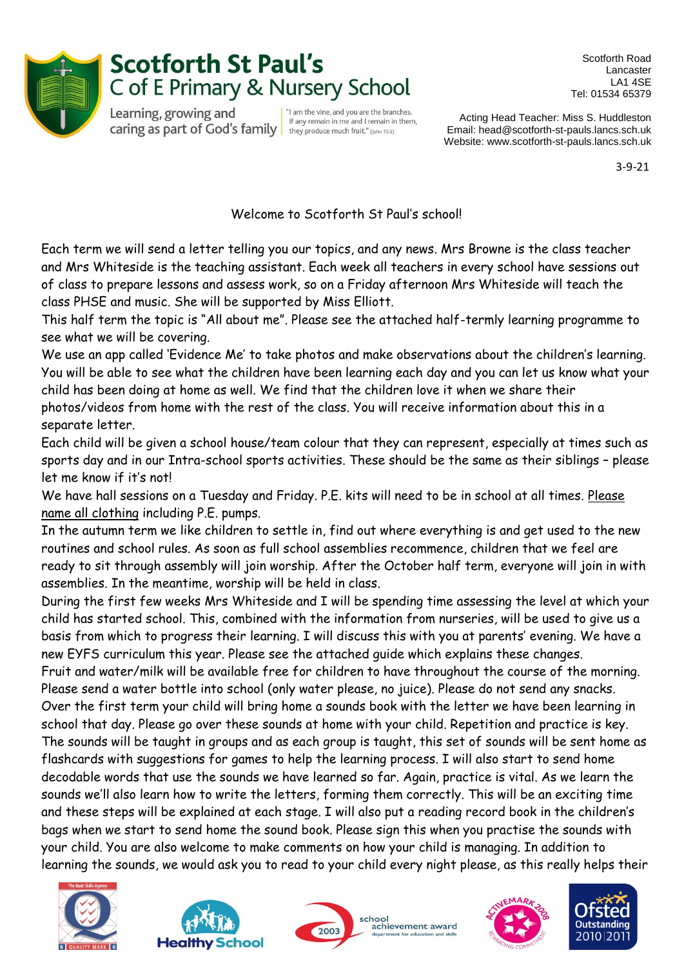

## **Scotforth St Paul's** C of E Primary & Nursery School

Learning, growing and Caring as part of God's family they produce much fruit." (John 15:5)

"I am the vine, and you are the branches. If any remain in me and I remain in them,

Scotforth Road Lancaster LA1 4SE Tel: 01534 65379

Acting Head Teacher: Miss S. Huddleston Email: head@scotforth-st-pauls.lancs.sch.uk Website: www.scotforth-st-pauls.lancs.sch.uk

3-9-21

## Welcome to Scotforth St Paul's school!

Each term we will send a letter telling you our topics, and any news. Mrs Browne is the class teacher and Mrs Whiteside is the teaching assistant. Each week all teachers in every school have sessions out of class to prepare lessons and assess work, so on a Friday afternoon Mrs Whiteside will teach the class PHSE and music. She will be supported by Miss Elliott.

This half term the topic is "All about me". Please see the attached half-termly learning programme to see what we will be covering.

We use an app called 'Evidence Me' to take photos and make observations about the children's learning. You will be able to see what the children have been learning each day and you can let us know what your child has been doing at home as well. We find that the children love it when we share their

photos/videos from home with the rest of the class. You will receive information about this in a separate letter.

Each child will be given a school house/team colour that they can represent, especially at times such as sports day and in our Intra-school sports activities. These should be the same as their siblings – please let me know if it's not!

We have hall sessions on a Tuesday and Friday. P.E. kits will need to be in school at all times. Please name all clothing including P.E. pumps.

In the autumn term we like children to settle in, find out where everything is and get used to the new routines and school rules. As soon as full school assemblies recommence, children that we feel are ready to sit through assembly will join worship. After the October half term, everyone will join in with assemblies. In the meantime, worship will be held in class.

During the first few weeks Mrs Whiteside and I will be spending time assessing the level at which your child has started school. This, combined with the information from nurseries, will be used to give us a basis from which to progress their learning. I will discuss this with you at parents' evening. We have a new EYFS curriculum this year. Please see the attached guide which explains these changes.

Fruit and water/milk will be available free for children to have throughout the course of the morning. Please send a water bottle into school (only water please, no juice). Please do not send any snacks. Over the first term your child will bring home a sounds book with the letter we have been learning in school that day. Please go over these sounds at home with your child. Repetition and practice is key. The sounds will be taught in groups and as each group is taught, this set of sounds will be sent home as flashcards with suggestions for games to help the learning process. I will also start to send home decodable words that use the sounds we have learned so far. Again, practice is vital. As we learn the sounds we'll also learn how to write the letters, forming them correctly. This will be an exciting time and these steps will be explained at each stage. I will also put a reading record book in the children's bags when we start to send home the sound book. Please sign this when you practise the sounds with your child. You are also welcome to make comments on how your child is managing. In addition to learning the sounds, we would ask you to read to your child every night please, as this really helps their